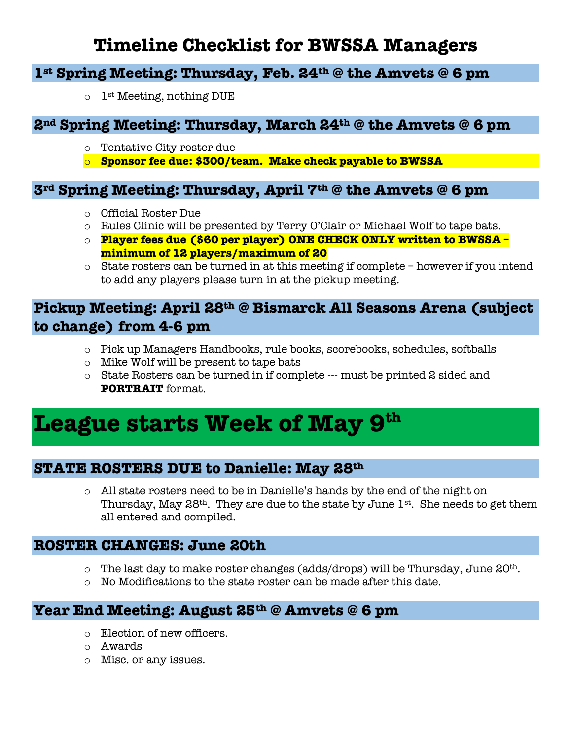# **Timeline Checklist for BWSSA Managers**

## **1st Spring Meeting: Thursday, Feb. 24th @ the Amvets @ 6 pm**

 $\circ$  1<sup>st</sup> Meeting, nothing DUE

#### **2nd Spring Meeting: Thursday, March 24th @ the Amvets @ 6 pm**

- o Tentative City roster due
- o **Sponsor fee due: \$300/team. Make check payable to BWSSA**

#### **3rd Spring Meeting: Thursday, April 7th @ the Amvets @ 6 pm**

- o Official Roster Due
- o Rules Clinic will be presented by Terry O'Clair or Michael Wolf to tape bats.
- o **Player fees due (\$60 per player) ONE CHECK ONLY written to BWSSA – minimum of 12 players/maximum of 20**
- o State rosters can be turned in at this meeting if complete however if you intend to add any players please turn in at the pickup meeting.

## **Pickup Meeting: April 28th @ Bismarck All Seasons Arena (subject to change) from 4-6 pm**

- o Pick up Managers Handbooks, rule books, scorebooks, schedules, softballs
- o Mike Wolf will be present to tape bats
- o State Rosters can be turned in if complete --- must be printed 2 sided and **PORTRAIT** format.

# League starts Week of May 9<sup>th</sup>

#### **STATE ROSTERS DUE to Danielle: May 28th**

o All state rosters need to be in Danielle's hands by the end of the night on Thursday, May  $28<sup>th</sup>$ . They are due to the state by June  $1<sup>st</sup>$ . She needs to get them all entered and compiled.

#### **ROSTER CHANGES: June 20th**

- $\circ$  The last day to make roster changes (adds/drops) will be Thursday, June 20<sup>th</sup>.
- $\circ$  No Modifications to the state roster can be made after this date.

#### **Year End Meeting: August 25th @ Amvets @ 6 pm**

- o Election of new officers.
- o Awards
- o Misc. or any issues.